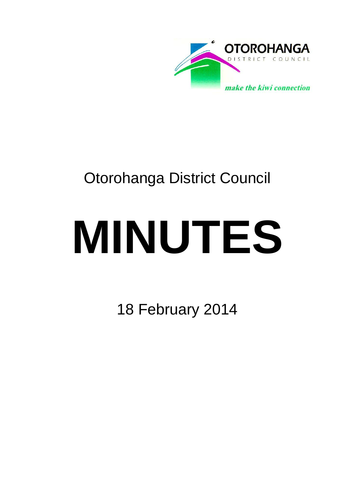

## Otorohanga District Council

# **MINUTES**

18 February 2014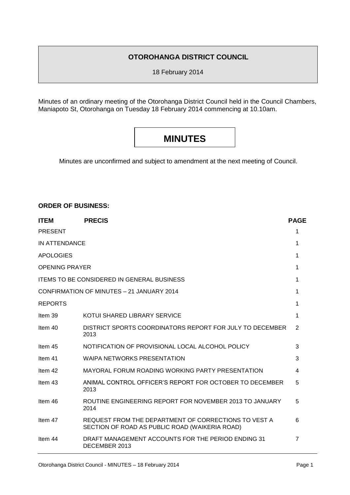#### **OTOROHANGA DISTRICT COUNCIL**

18 February 2014

Minutes of an ordinary meeting of the Otorohanga District Council held in the Council Chambers, Maniapoto St, Otorohanga on Tuesday 18 February 2014 commencing at 10.10am.

### **MINUTES**

Minutes are unconfirmed and subject to amendment at the next meeting of Council.

#### **ORDER OF BUSINESS:**

| <b>ITEM</b>                               | <b>PRECIS</b>                                                                                          | <b>PAGE</b>    |
|-------------------------------------------|--------------------------------------------------------------------------------------------------------|----------------|
| <b>PRESENT</b>                            |                                                                                                        | 1              |
| IN ATTENDANCE                             |                                                                                                        | 1              |
| <b>APOLOGIES</b>                          |                                                                                                        | 1              |
| <b>OPENING PRAYER</b>                     |                                                                                                        | 1              |
|                                           | <b>ITEMS TO BE CONSIDERED IN GENERAL BUSINESS</b>                                                      | 1              |
| CONFIRMATION OF MINUTES - 21 JANUARY 2014 |                                                                                                        | 1              |
| <b>REPORTS</b>                            |                                                                                                        | 1              |
| Item 39                                   | KOTUI SHARED LIBRARY SERVICE                                                                           | 1              |
| Item 40                                   | DISTRICT SPORTS COORDINATORS REPORT FOR JULY TO DECEMBER<br>2013                                       | 2              |
| Item 45                                   | NOTIFICATION OF PROVISIONAL LOCAL ALCOHOL POLICY                                                       | 3              |
| Item 41                                   | <b>WAIPA NETWORKS PRESENTATION</b>                                                                     | 3              |
| Item 42                                   | MAYORAL FORUM ROADING WORKING PARTY PRESENTATION                                                       | 4              |
| Item 43                                   | ANIMAL CONTROL OFFICER'S REPORT FOR OCTOBER TO DECEMBER<br>2013                                        | 5              |
| Item 46                                   | ROUTINE ENGINEERING REPORT FOR NOVEMBER 2013 TO JANUARY<br>2014                                        | 5              |
| Item 47                                   | REQUEST FROM THE DEPARTMENT OF CORRECTIONS TO VEST A<br>SECTION OF ROAD AS PUBLIC ROAD (WAIKERIA ROAD) | 6              |
| Item 44                                   | DRAFT MANAGEMENT ACCOUNTS FOR THE PERIOD ENDING 31<br>DECEMBER 2013                                    | $\overline{7}$ |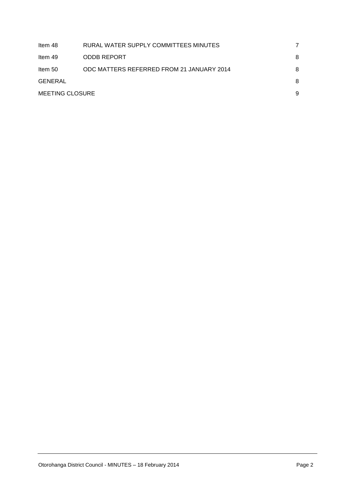| Item 48                | RURAL WATER SUPPLY COMMITTEES MINUTES     |   |
|------------------------|-------------------------------------------|---|
| ltem 49                | <b>ODDB REPORT</b>                        | 8 |
| Item 50                | ODC MATTERS REFERRED FROM 21 JANUARY 2014 | 8 |
| GENERAL                |                                           | 8 |
| <b>MEETING CLOSURE</b> |                                           | 9 |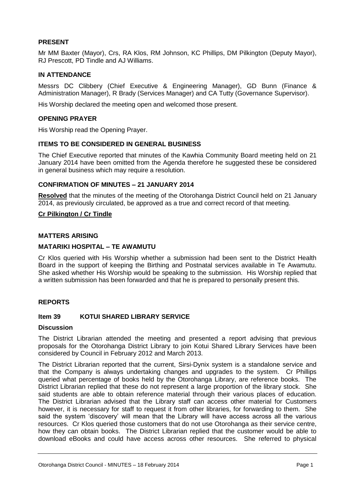#### **PRESENT**

Mr MM Baxter (Mayor), Crs, RA Klos, RM Johnson, KC Phillips, DM Pilkington (Deputy Mayor), RJ Prescott, PD Tindle and AJ Williams.

#### **IN ATTENDANCE**

Messrs DC Clibbery (Chief Executive & Engineering Manager), GD Bunn (Finance & Administration Manager), R Brady (Services Manager) and CA Tutty (Governance Supervisor).

His Worship declared the meeting open and welcomed those present.

#### **OPENING PRAYER**

His Worship read the Opening Prayer.

#### **ITEMS TO BE CONSIDERED IN GENERAL BUSINESS**

The Chief Executive reported that minutes of the Kawhia Community Board meeting held on 21 January 2014 have been omitted from the Agenda therefore he suggested these be considered in general business which may require a resolution.

#### **CONFIRMATION OF MINUTES – 21 JANUARY 2014**

**Resolved** that the minutes of the meeting of the Otorohanga District Council held on 21 January 2014, as previously circulated, be approved as a true and correct record of that meeting.

#### **Cr Pilkington / Cr Tindle**

#### **MATTERS ARISING**

#### **MATARIKI HOSPITAL – TE AWAMUTU**

Cr Klos queried with His Worship whether a submission had been sent to the District Health Board in the support of keeping the Birthing and Postnatal services available in Te Awamutu. She asked whether His Worship would be speaking to the submission. His Worship replied that a written submission has been forwarded and that he is prepared to personally present this.

#### **REPORTS**

#### **Item 39 KOTUI SHARED LIBRARY SERVICE**

#### **Discussion**

The District Librarian attended the meeting and presented a report advising that previous proposals for the Otorohanga District Library to join Kotui Shared Library Services have been considered by Council in February 2012 and March 2013.

The District Librarian reported that the current, Sirsi-Dynix system is a standalone service and that the Company is always undertaking changes and upgrades to the system. Cr Phillips queried what percentage of books held by the Otorohanga Library, are reference books. The District Librarian replied that these do not represent a large proportion of the library stock. She said students are able to obtain reference material through their various places of education. The District Librarian advised that the Library staff can access other material for Customers however, it is necessary for staff to request it from other libraries, for forwarding to them. She said the system 'discovery' will mean that the Library will have access across all the various resources. Cr Klos queried those customers that do not use Otorohanga as their service centre, how they can obtain books. The District Librarian replied that the customer would be able to download eBooks and could have access across other resources. She referred to physical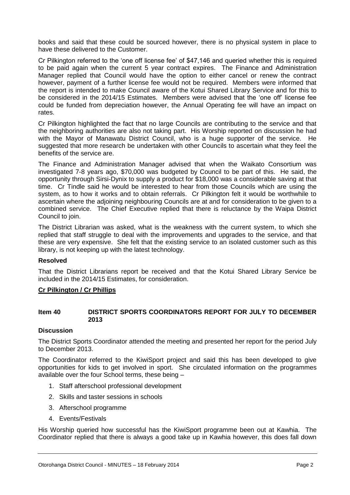books and said that these could be sourced however, there is no physical system in place to have these delivered to the Customer.

Cr Pilkington referred to the 'one off license fee' of \$47,146 and queried whether this is required to be paid again when the current 5 year contract expires. The Finance and Administration Manager replied that Council would have the option to either cancel or renew the contract however, payment of a further license fee would not be required. Members were informed that the report is intended to make Council aware of the Kotui Shared Library Service and for this to be considered in the 2014/15 Estimates. Members were advised that the 'one off' license fee could be funded from depreciation however, the Annual Operating fee will have an impact on rates.

Cr Pilkington highlighted the fact that no large Councils are contributing to the service and that the neighboring authorities are also not taking part. His Worship reported on discussion he had with the Mayor of Manawatu District Council, who is a huge supporter of the service. He suggested that more research be undertaken with other Councils to ascertain what they feel the benefits of the service are.

The Finance and Administration Manager advised that when the Waikato Consortium was investigated 7-8 years ago, \$70,000 was budgeted by Council to be part of this. He said, the opportunity through Sirsi-Dynix to supply a product for \$18,000 was a considerable saving at that time. Cr Tindle said he would be interested to hear from those Councils which are using the system, as to how it works and to obtain referrals. Cr Pilkington felt it would be worthwhile to ascertain where the adjoining neighbouring Councils are at and for consideration to be given to a combined service. The Chief Executive replied that there is reluctance by the Waipa District Council to join.

The District Librarian was asked, what is the weakness with the current system, to which she replied that staff struggle to deal with the improvements and upgrades to the service, and that these are very expensive. She felt that the existing service to an isolated customer such as this library, is not keeping up with the latest technology.

#### **Resolved**

That the District Librarians report be received and that the Kotui Shared Library Service be included in the 2014/15 Estimates, for consideration.

#### **Cr Pilkington / Cr Phillips**

#### **Item 40 DISTRICT SPORTS COORDINATORS REPORT FOR JULY TO DECEMBER 2013**

#### **Discussion**

The District Sports Coordinator attended the meeting and presented her report for the period July to December 2013.

The Coordinator referred to the KiwiSport project and said this has been developed to give opportunities for kids to get involved in sport. She circulated information on the programmes available over the four School terms, these being –

- 1. Staff afterschool professional development
- 2. Skills and taster sessions in schools
- 3. Afterschool programme
- 4. Events/Festivals

His Worship queried how successful has the KiwiSport programme been out at Kawhia. The Coordinator replied that there is always a good take up in Kawhia however, this does fall down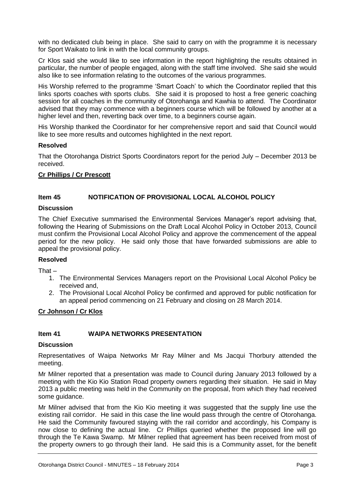with no dedicated club being in place. She said to carry on with the programme it is necessary for Sport Waikato to link in with the local community groups.

Cr Klos said she would like to see information in the report highlighting the results obtained in particular, the number of people engaged, along with the staff time involved. She said she would also like to see information relating to the outcomes of the various programmes.

His Worship referred to the programme 'Smart Coach' to which the Coordinator replied that this links sports coaches with sports clubs. She said it is proposed to host a free generic coaching session for all coaches in the community of Otorohanga and Kawhia to attend. The Coordinator advised that they may commence with a beginners course which will be followed by another at a higher level and then, reverting back over time, to a beginners course again.

His Worship thanked the Coordinator for her comprehensive report and said that Council would like to see more results and outcomes highlighted in the next report.

#### **Resolved**

That the Otorohanga District Sports Coordinators report for the period July – December 2013 be received.

#### **Cr Phillips / Cr Prescott**

#### **Item 45 NOTIFICATION OF PROVISIONAL LOCAL ALCOHOL POLICY**

#### **Discussion**

The Chief Executive summarised the Environmental Services Manager's report advising that, following the Hearing of Submissions on the Draft Local Alcohol Policy in October 2013, Council must confirm the Provisional Local Alcohol Policy and approve the commencement of the appeal period for the new policy. He said only those that have forwarded submissions are able to appeal the provisional policy.

#### **Resolved**

That –

- 1. The Environmental Services Managers report on the Provisional Local Alcohol Policy be received and,
- 2. The Provisional Local Alcohol Policy be confirmed and approved for public notification for an appeal period commencing on 21 February and closing on 28 March 2014.

#### **Cr Johnson / Cr Klos**

#### **Item 41 WAIPA NETWORKS PRESENTATION**

#### **Discussion**

Representatives of Waipa Networks Mr Ray Milner and Ms Jacqui Thorbury attended the meeting.

Mr Milner reported that a presentation was made to Council during January 2013 followed by a meeting with the Kio Kio Station Road property owners regarding their situation. He said in May 2013 a public meeting was held in the Community on the proposal, from which they had received some guidance.

Mr Milner advised that from the Kio Kio meeting it was suggested that the supply line use the existing rail corridor. He said in this case the line would pass through the centre of Otorohanga. He said the Community favoured staying with the rail corridor and accordingly, his Company is now close to defining the actual line. Cr Phillips queried whether the proposed line will go through the Te Kawa Swamp. Mr Milner replied that agreement has been received from most of the property owners to go through their land. He said this is a Community asset, for the benefit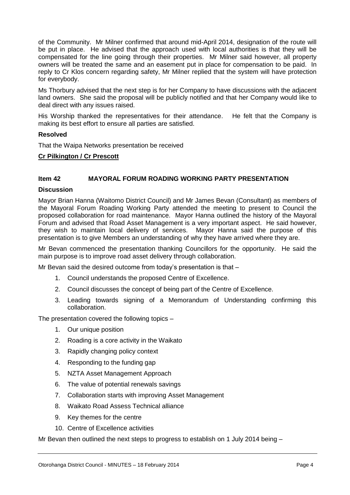of the Community. Mr Milner confirmed that around mid-April 2014, designation of the route will be put in place. He advised that the approach used with local authorities is that they will be compensated for the line going through their properties. Mr Milner said however, all property owners will be treated the same and an easement put in place for compensation to be paid. In reply to Cr Klos concern regarding safety, Mr Milner replied that the system will have protection for everybody.

Ms Thorbury advised that the next step is for her Company to have discussions with the adjacent land owners. She said the proposal will be publicly notified and that her Company would like to deal direct with any issues raised.

His Worship thanked the representatives for their attendance. He felt that the Company is making its best effort to ensure all parties are satisfied.

#### **Resolved**

That the Waipa Networks presentation be received

#### **Cr Pilkington / Cr Prescott**

#### **Item 42 MAYORAL FORUM ROADING WORKING PARTY PRESENTATION**

#### **Discussion**

Mayor Brian Hanna (Waitomo District Council) and Mr James Bevan (Consultant) as members of the Mayoral Forum Roading Working Party attended the meeting to present to Council the proposed collaboration for road maintenance. Mayor Hanna outlined the history of the Mayoral Forum and advised that Road Asset Management is a very important aspect. He said however, they wish to maintain local delivery of services. Mayor Hanna said the purpose of this presentation is to give Members an understanding of why they have arrived where they are.

Mr Bevan commenced the presentation thanking Councillors for the opportunity. He said the main purpose is to improve road asset delivery through collaboration.

Mr Bevan said the desired outcome from today's presentation is that –

- 1. Council understands the proposed Centre of Excellence.
- 2. Council discusses the concept of being part of the Centre of Excellence.
- 3. Leading towards signing of a Memorandum of Understanding confirming this collaboration.

The presentation covered the following topics –

- 1. Our unique position
- 2. Roading is a core activity in the Waikato
- 3. Rapidly changing policy context
- 4. Responding to the funding gap
- 5. NZTA Asset Management Approach
- 6. The value of potential renewals savings
- 7. Collaboration starts with improving Asset Management
- 8. Waikato Road Assess Technical alliance
- 9. Key themes for the centre
- 10. Centre of Excellence activities

Mr Bevan then outlined the next steps to progress to establish on 1 July 2014 being –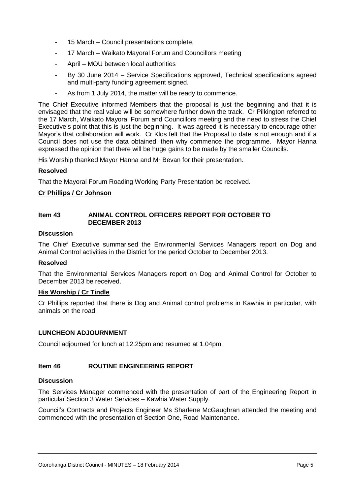- 15 March Council presentations complete,
- 17 March Waikato Mayoral Forum and Councillors meeting
- April MOU between local authorities
- By 30 June 2014 Service Specifications approved, Technical specifications agreed and multi-party funding agreement signed.
- As from 1 July 2014, the matter will be ready to commence.

The Chief Executive informed Members that the proposal is just the beginning and that it is envisaged that the real value will be somewhere further down the track. Cr Pilkington referred to the 17 March, Waikato Mayoral Forum and Councillors meeting and the need to stress the Chief Executive's point that this is just the beginning. It was agreed it is necessary to encourage other Mayor's that collaboration will work. Cr Klos felt that the Proposal to date is not enough and if a Council does not use the data obtained, then why commence the programme. Mayor Hanna expressed the opinion that there will be huge gains to be made by the smaller Councils.

His Worship thanked Mayor Hanna and Mr Bevan for their presentation.

#### **Resolved**

That the Mayoral Forum Roading Working Party Presentation be received.

#### **Cr Phillips / Cr Johnson**

#### **Item 43 ANIMAL CONTROL OFFICERS REPORT FOR OCTOBER TO DECEMBER 2013**

#### **Discussion**

The Chief Executive summarised the Environmental Services Managers report on Dog and Animal Control activities in the District for the period October to December 2013.

#### **Resolved**

That the Environmental Services Managers report on Dog and Animal Control for October to December 2013 be received.

#### **His Worship / Cr Tindle**

Cr Phillips reported that there is Dog and Animal control problems in Kawhia in particular, with animals on the road.

#### **LUNCHEON ADJOURNMENT**

Council adjourned for lunch at 12.25pm and resumed at 1.04pm.

#### **Item 46 ROUTINE ENGINEERING REPORT**

#### **Discussion**

The Services Manager commenced with the presentation of part of the Engineering Report in particular Section 3 Water Services – Kawhia Water Supply.

Council's Contracts and Projects Engineer Ms Sharlene McGaughran attended the meeting and commenced with the presentation of Section One, Road Maintenance.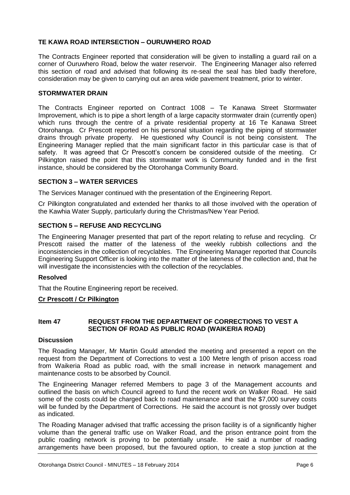#### **TE KAWA ROAD INTERSECTION – OURUWHERO ROAD**

The Contracts Engineer reported that consideration will be given to installing a guard rail on a corner of Ouruwhero Road, below the water reservoir. The Engineering Manager also referred this section of road and advised that following its re-seal the seal has bled badly therefore, consideration may be given to carrying out an area wide pavement treatment, prior to winter.

#### **STORMWATER DRAIN**

The Contracts Engineer reported on Contract 1008 – Te Kanawa Street Stormwater Improvement, which is to pipe a short length of a large capacity stormwater drain (currently open) which runs through the centre of a private residential property at 16 Te Kanawa Street Otorohanga. Cr Prescott reported on his personal situation regarding the piping of stormwater drains through private property. He questioned why Council is not being consistent. The Engineering Manager replied that the main significant factor in this particular case is that of safety. It was agreed that Cr Prescott's concern be considered outside of the meeting. Cr Pilkington raised the point that this stormwater work is Community funded and in the first instance, should be considered by the Otorohanga Community Board.

#### **SECTION 3 – WATER SERVICES**

The Services Manager continued with the presentation of the Engineering Report.

Cr Pilkington congratulated and extended her thanks to all those involved with the operation of the Kawhia Water Supply, particularly during the Christmas/New Year Period.

#### **SECTION 5 – REFUSE AND RECYCLING**

The Engineering Manager presented that part of the report relating to refuse and recycling. Cr Prescott raised the matter of the lateness of the weekly rubbish collections and the inconsistencies in the collection of recyclables. The Engineering Manager reported that Councils Engineering Support Officer is looking into the matter of the lateness of the collection and, that he will investigate the inconsistencies with the collection of the recyclables.

#### **Resolved**

That the Routine Engineering report be received.

#### **Cr Prescott / Cr Pilkington**

#### **Item 47 REQUEST FROM THE DEPARTMENT OF CORRECTIONS TO VEST A SECTION OF ROAD AS PUBLIC ROAD (WAIKERIA ROAD)**

#### **Discussion**

The Roading Manager, Mr Martin Gould attended the meeting and presented a report on the request from the Department of Corrections to vest a 100 Metre length of prison access road from Waikeria Road as public road, with the small increase in network management and maintenance costs to be absorbed by Council.

The Engineering Manager referred Members to page 3 of the Management accounts and outlined the basis on which Council agreed to fund the recent work on Walker Road. He said some of the costs could be charged back to road maintenance and that the \$7,000 survey costs will be funded by the Department of Corrections. He said the account is not grossly over budget as indicated.

The Roading Manager advised that traffic accessing the prison facility is of a significantly higher volume than the general traffic use on Walker Road, and the prison entrance point from the public roading network is proving to be potentially unsafe. He said a number of roading arrangements have been proposed, but the favoured option, to create a stop junction at the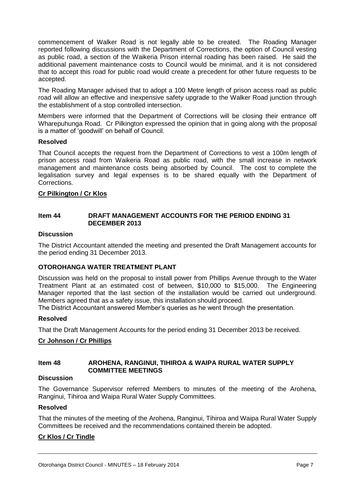commencement of Walker Road is not legally able to be created. The Roading Manager reported following discussions with the Department of Corrections, the option of Council vesting as public road, a section of the Waikeria Prison internal roading has been raised. He said the additional pavement maintenance costs to Council would be minimal, and it is not considered that to accept this road for public road would create a precedent for other future requests to be accepted.

The Roading Manager advised that to adopt a 100 Metre length of prison access road as public road will allow an effective and inexpensive safety upgrade to the Walker Road junction through the establishment of a stop controlled intersection.

Members were informed that the Department of Corrections will be closing their entrance off Wharepuhunga Road. Cr Pilkington expressed the opinion that in going along with the proposal is a matter of 'goodwill' on behalf of Council.

#### **Resolved**

That Council accepts the request from the Department of Corrections to vest a 100m length of prison access road from Waikeria Road as public road, with the small increase in network management and maintenance costs being absorbed by Council. The cost to complete the legalisation survey and legal expenses is to be shared equally with the Department of Corrections.

#### **Cr Pilkington / Cr Klos**

#### **Item 44 DRAFT MANAGEMENT ACCOUNTS FOR THE PERIOD ENDING 31 DECEMBER 2013**

#### **Discussion**

The District Accountant attended the meeting and presented the Draft Management accounts for the period ending 31 December 2013.

#### **OTOROHANGA WATER TREATMENT PLANT**

Discussion was held on the proposal to install power from Phillips Avenue through to the Water Treatment Plant at an estimated cost of between, \$10,000 to \$15,000. The Engineering Manager reported that the last section of the installation would be carried out underground. Members agreed that as a safety issue, this installation should proceed.

The District Accountant answered Member's queries as he went through the presentation.

#### **Resolved**

That the Draft Management Accounts for the period ending 31 December 2013 be received.

#### **Cr Johnson / Cr Phillips**

#### **Item 48 AROHENA, RANGINUI, TIHIROA & WAIPA RURAL WATER SUPPLY COMMITTEE MEETINGS**

#### **Discussion**

The Governance Supervisor referred Members to minutes of the meeting of the Arohena, Ranginui, Tihiroa and Waipa Rural Water Supply Committees.

#### **Resolved**

That the minutes of the meeting of the Arohena, Ranginui, Tihiroa and Waipa Rural Water Supply Committees be received and the recommendations contained therein be adopted.

#### **Cr Klos / Cr Tindle**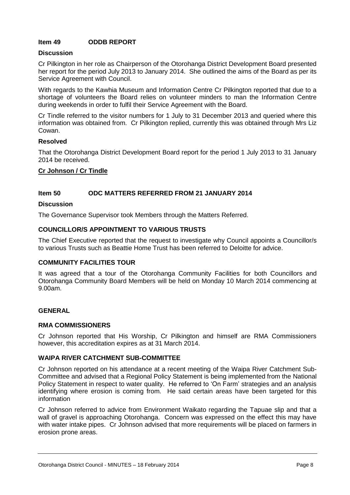#### **Item 49 ODDB REPORT**

#### **Discussion**

Cr Pilkington in her role as Chairperson of the Otorohanga District Development Board presented her report for the period July 2013 to January 2014. She outlined the aims of the Board as per its Service Agreement with Council.

With regards to the Kawhia Museum and Information Centre Cr Pilkington reported that due to a shortage of volunteers the Board relies on volunteer minders to man the Information Centre during weekends in order to fulfil their Service Agreement with the Board.

Cr Tindle referred to the visitor numbers for 1 July to 31 December 2013 and queried where this information was obtained from. Cr Pilkington replied, currently this was obtained through Mrs Liz Cowan.

#### **Resolved**

That the Otorohanga District Development Board report for the period 1 July 2013 to 31 January 2014 be received.

#### **Cr Johnson / Cr Tindle**

#### **Item 50 ODC MATTERS REFERRED FROM 21 JANUARY 2014**

#### **Discussion**

The Governance Supervisor took Members through the Matters Referred.

#### **COUNCILLOR/S APPOINTMENT TO VARIOUS TRUSTS**

The Chief Executive reported that the request to investigate why Council appoints a Councillor/s to various Trusts such as Beattie Home Trust has been referred to Deloitte for advice.

#### **COMMUNITY FACILITIES TOUR**

It was agreed that a tour of the Otorohanga Community Facilities for both Councillors and Otorohanga Community Board Members will be held on Monday 10 March 2014 commencing at 9.00am.

#### **GENERAL**

#### **RMA COMMISSIONERS**

Cr Johnson reported that His Worship, Cr Pilkington and himself are RMA Commissioners however, this accreditation expires as at 31 March 2014.

#### **WAIPA RIVER CATCHMENT SUB-COMMITTEE**

Cr Johnson reported on his attendance at a recent meeting of the Waipa River Catchment Sub-Committee and advised that a Regional Policy Statement is being implemented from the National Policy Statement in respect to water quality. He referred to 'On Farm' strategies and an analysis identifying where erosion is coming from. He said certain areas have been targeted for this information

Cr Johnson referred to advice from Environment Waikato regarding the Tapuae slip and that a wall of gravel is approaching Otorohanga. Concern was expressed on the effect this may have with water intake pipes. Cr Johnson advised that more requirements will be placed on farmers in erosion prone areas.